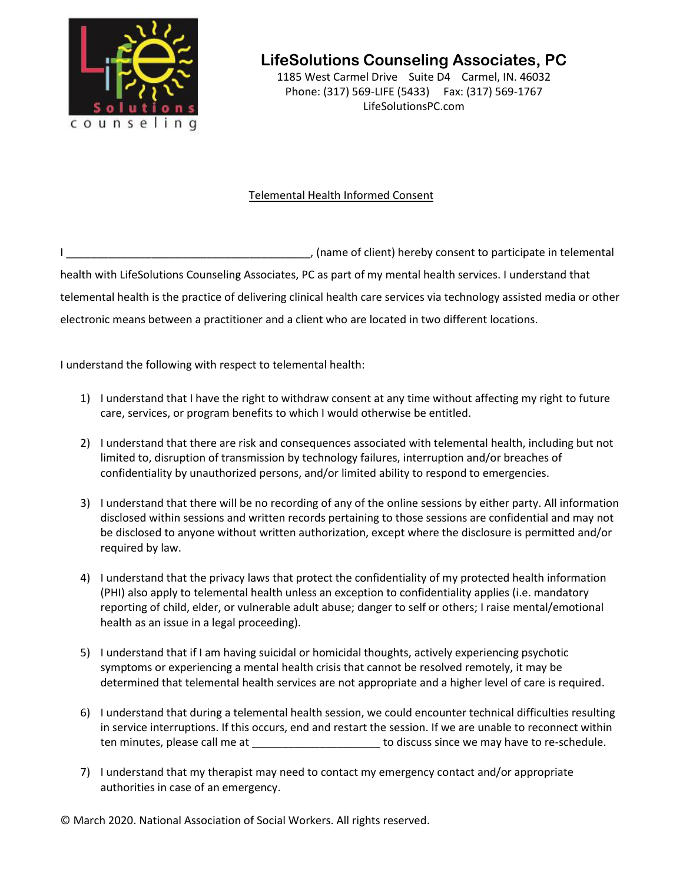

**LifeSolutions Counseling Associates, PC**

1185 West Carmel Drive Suite D4 Carmel, IN. 46032 Phone: (317) 569-LIFE (5433) Fax: (317) 569-1767 LifeSolutionsPC.com

## Telemental Health Informed Consent

I consent to participate in telemental  $\overline{a}$ , (name of client) hereby consent to participate in telemental health with LifeSolutions Counseling Associates, PC as part of my mental health services. I understand that telemental health is the practice of delivering clinical health care services via technology assisted media or other electronic means between a practitioner and a client who are located in two different locations.

I understand the following with respect to telemental health:

- 1) I understand that I have the right to withdraw consent at any time without affecting my right to future care, services, or program benefits to which I would otherwise be entitled.
- 2) I understand that there are risk and consequences associated with telemental health, including but not limited to, disruption of transmission by technology failures, interruption and/or breaches of confidentiality by unauthorized persons, and/or limited ability to respond to emergencies.
- 3) I understand that there will be no recording of any of the online sessions by either party. All information disclosed within sessions and written records pertaining to those sessions are confidential and may not be disclosed to anyone without written authorization, except where the disclosure is permitted and/or required by law.
- 4) I understand that the privacy laws that protect the confidentiality of my protected health information (PHI) also apply to telemental health unless an exception to confidentiality applies (i.e. mandatory reporting of child, elder, or vulnerable adult abuse; danger to self or others; I raise mental/emotional health as an issue in a legal proceeding).
- 5) I understand that if I am having suicidal or homicidal thoughts, actively experiencing psychotic symptoms or experiencing a mental health crisis that cannot be resolved remotely, it may be determined that telemental health services are not appropriate and a higher level of care is required.
- 6) I understand that during a telemental health session, we could encounter technical difficulties resulting in service interruptions. If this occurs, end and restart the session. If we are unable to reconnect within ten minutes, please call me at  $\qquad \qquad$  to discuss since we may have to re-schedule.
- 7) I understand that my therapist may need to contact my emergency contact and/or appropriate authorities in case of an emergency.

© March 2020. National Association of Social Workers. All rights reserved.